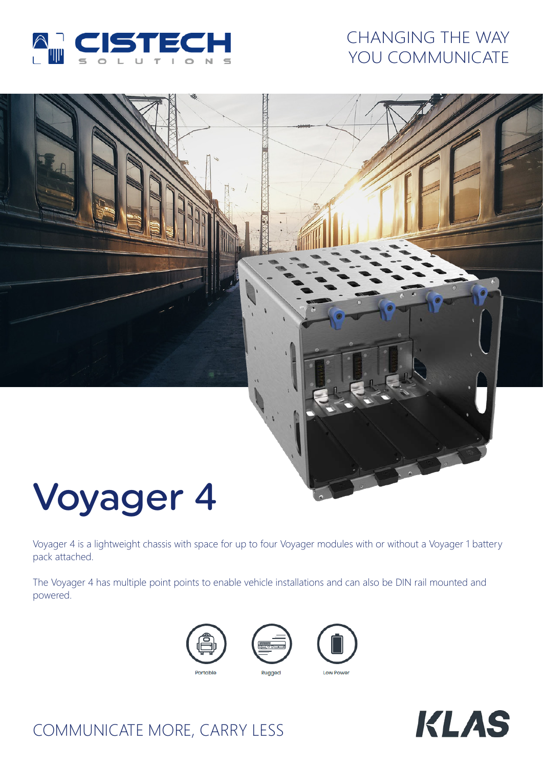

## CHANGING THE WAY YOU COMMUNICATE

# Voyager 4

Voyager 4 is a lightweight chassis with space for up to four Voyager modules with or without a Voyager 1 battery pack attached.

The Voyager 4 has multiple point points to enable vehicle installations and can also be DIN rail mounted and powered.







**KLAS** 

# COMMUNICATE MORE, CARRY LESS